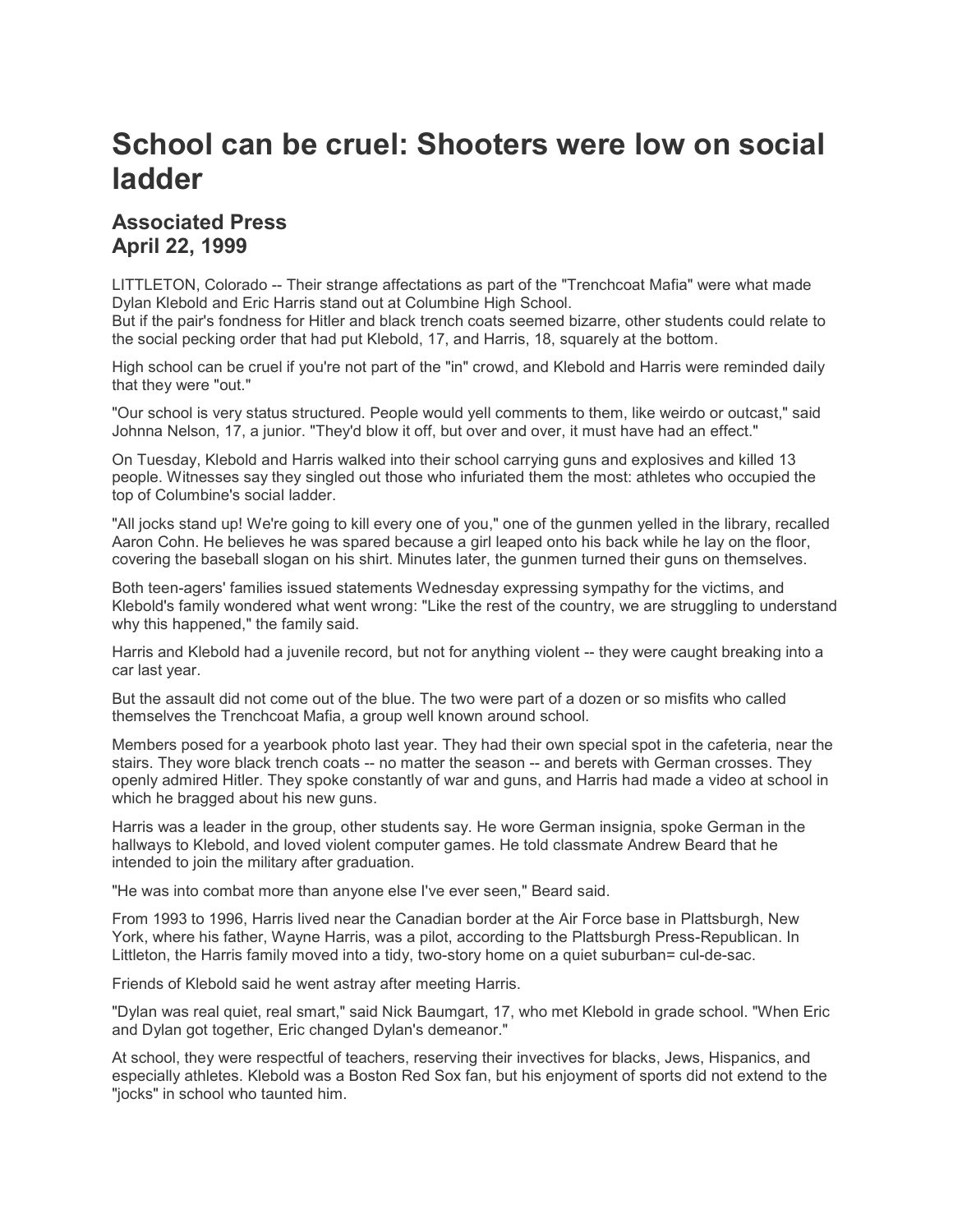## **School can be cruel: Shooters were low on social ladder**

## **Associated Press April 22, 1999**

LITTLETON, Colorado -- Their strange affectations as part of the "Trenchcoat Mafia" were what made Dylan Klebold and Eric Harris stand out at Columbine High School.

But if the pair's fondness for Hitler and black trench coats seemed bizarre, other students could relate to the social pecking order that had put Klebold, 17, and Harris, 18, squarely at the bottom.

High school can be cruel if you're not part of the "in" crowd, and Klebold and Harris were reminded daily that they were "out."

"Our school is very status structured. People would yell comments to them, like weirdo or outcast," said Johnna Nelson, 17, a junior. "They'd blow it off, but over and over, it must have had an effect."

On Tuesday, Klebold and Harris walked into their school carrying guns and explosives and killed 13 people. Witnesses say they singled out those who infuriated them the most: athletes who occupied the top of Columbine's social ladder.

"All jocks stand up! We're going to kill every one of you," one of the gunmen yelled in the library, recalled Aaron Cohn. He believes he was spared because a girl leaped onto his back while he lay on the floor, covering the baseball slogan on his shirt. Minutes later, the gunmen turned their guns on themselves.

Both teen-agers' families issued statements Wednesday expressing sympathy for the victims, and Klebold's family wondered what went wrong: "Like the rest of the country, we are struggling to understand why this happened," the family said.

Harris and Klebold had a juvenile record, but not for anything violent -- they were caught breaking into a car last year.

But the assault did not come out of the blue. The two were part of a dozen or so misfits who called themselves the Trenchcoat Mafia, a group well known around school.

Members posed for a yearbook photo last year. They had their own special spot in the cafeteria, near the stairs. They wore black trench coats -- no matter the season -- and berets with German crosses. They openly admired Hitler. They spoke constantly of war and guns, and Harris had made a video at school in which he bragged about his new guns.

Harris was a leader in the group, other students say. He wore German insignia, spoke German in the hallways to Klebold, and loved violent computer games. He told classmate Andrew Beard that he intended to join the military after graduation.

"He was into combat more than anyone else I've ever seen," Beard said.

From 1993 to 1996, Harris lived near the Canadian border at the Air Force base in Plattsburgh, New York, where his father, Wayne Harris, was a pilot, according to the Plattsburgh Press-Republican. In Littleton, the Harris family moved into a tidy, two-story home on a quiet suburban= cul-de-sac.

Friends of Klebold said he went astray after meeting Harris.

"Dylan was real quiet, real smart," said Nick Baumgart, 17, who met Klebold in grade school. "When Eric and Dylan got together, Eric changed Dylan's demeanor."

At school, they were respectful of teachers, reserving their invectives for blacks, Jews, Hispanics, and especially athletes. Klebold was a Boston Red Sox fan, but his enjoyment of sports did not extend to the "jocks" in school who taunted him.